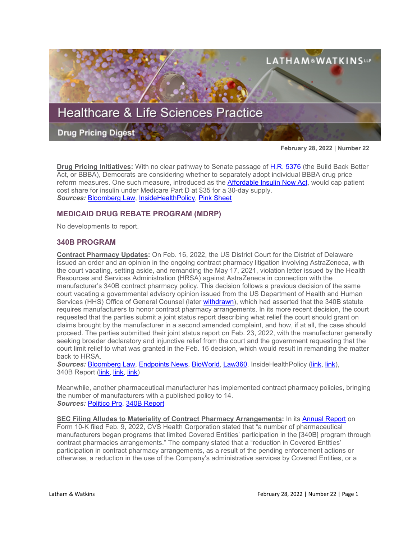

**February 28, 2022 | Number 22**

**Drug Pricing Initiatives:** With no clear pathway to Senate passage of [H.R. 5376](https://www.sites.lwcommunicate.com/e/rsuy4ryabtyriig/f831d9cf-6927-4352-a6f9-2b8f768792b1) (the Build Back Better Act, or BBBA), Democrats are considering whether to separately adopt individual BBBA drug price reform measures. One such measure, introduced as the [Affordable Insulin Now Act,](https://www.bennet.senate.gov/public/_cache/files/7/a/7ada967e-5979-4a94-9552-12ea84a8753b/A1DC13E15DE2E7B1161B501B5AE20AAB.affordable-insulin-now.pdf) would cap patient cost share for insulin under Medicare Part D at \$35 for a 30-day supply. *Sources:* [Bloomberg Law,](https://www.bloomberglaw.com/bloomberglawnews/exp/eyJjdHh0IjoiSFBOVyIsImlkIjoiMDAwMDAxN2YtMjczOC1kZWZlLWFmZmYtZWY3Y2QzYTEwMDAxIiwic2lnIjoiTVJHbXZzNFVLYmprMldBNDZrUGxEVXY1dkZNPSIsInRpbWUiOiIxNjQ1NzAzNzQ3IiwidXVpZCI6IjNMTXhWdlBsOVh6anM3cFJpNkdpSVE9PWxTODFkaU1sVXRZcXk3T3hUOEpRUnc9PSIsInYiOiIxIn0=?bwid=0000017f-2738-defe-afff-ef7cd3a10001&cti=LFVL&emc=bhpnw_nl%3A4&et=NEWSLETTER&isAlert=false&item=read-text&qid=7251572®ion=digest&source=newsletter&uc=1320011525&udvType=Alert&usertype=External) [InsideHealthPolicy,](https://insidehealthpolicy.com/daily-news/schumer-says-warnock%E2%80%99s-insulin-cost-cap-bill-priority) [Pink Sheet](https://pink.pharmaintelligence.informa.com/PS145751/Insulin-Copay-Bill-Advances-In-What-Could-Be-US-Senate-Democrats-Last-Gasp-For-Price-Reform)

# **MEDICAID DRUG REBATE PROGRAM (MDRP)**

No developments to report.

## **340B PROGRAM**

**Contract Pharmacy Updates:** On Feb. 16, 2022, the US District Court for the District of Delaware issued an order and an opinion in the ongoing contract pharmacy litigation involving AstraZeneca, with the court vacating, setting aside, and remanding the May 17, 2021, violation letter issued by the Health Resources and Services Administration (HRSA) against AstraZeneca in connection with the manufacturer's 340B contract pharmacy policy. This decision follows a previous decision of the same court vacating a governmental advisory opinion issued from the US Department of Health and Human Services (HHS) Office of General Counsel (later [withdrawn\)](https://www.hhs.gov/sites/default/files/notice-of-withdrawal-of-ao-20-06-6-18-21.pdf), which had asserted that the 340B statute requires manufacturers to honor contract pharmacy arrangements. In its more recent decision, the court requested that the parties submit a joint status report describing what relief the court should grant on claims brought by the manufacturer in a second amended complaint, and how, if at all, the case should proceed. The parties submitted their joint status report on Feb. 23, 2022, with the manufacturer generally seeking broader declaratory and injunctive relief from the court and the government requesting that the court limit relief to what was granted in the Feb. 16 decision, which would result in remanding the matter back to HRSA.

*Sources:* [Bloomberg Law,](https://www.bloomberglaw.com/bloomberglawnews/exp/eyJjdHh0IjoiSExOVyIsImlkIjoiMDAwMDAxN2YtMDQ4Yi1kODFjLWExN2YtMWQ4ZjcxMWIwMDAwIiwic2lnIjoia1c2a3hEd3Z3NE9pVWcrVmN1UXdDemdGOE5RPSIsInRpbWUiOiIxNjQ1MDU0NzkxIiwidXVpZCI6InpuR3pLTTdBalg0RXpJOGhnMk9vR2c9PS9vdjZ1cVVhMlRDRk5sNUZjVXYwaVE9PSIsInYiOiIxIn0=?bwid=0000017f-048b-d81c-a17f-1d8f711b0000&cti=LFVL&emc=bhlnw_cn%3A3&et=CHANNEL_NOTIFICATION&isAlert=false&item=read-text&qid=7248341®ion=digest&source=breaking-news&uc=1320011525&udvType=Alert&usertype=External) [Endpoints News,](https://endpts.com/astrazeneca-scores-another-industry-victory-over-the-federal-government-in-340b-litigation/) [BioWorld,](https://www.bioworld.com/articles/516180-court-us-hhs-violation-letters-violative) [Law360,](https://www.law360.com/lifesciences/articles/1466006/judge-axes-hhs-letter-over-astrazeneca-discount-dodging?nl_pk=a57127cb-9729-4523-b556-509f21a7970b&utm_source=newsletter&utm_medium=email&utm_campaign=lifesciences) InsideHealthPolicy [\(link,](https://insidehealthpolicy.com/daily-news/judge-rules-against-hhs-enforcement-actions-340b-suit) [link\)](https://insidehealthpolicy.com/daily-news/hospitals-consider-giving-pharma%E2%80%99s-340b-data-sharing-demands), 340B Report [\(link,](https://340breport.com/federal-judge-vacates-hrsas-finding-that-astrazenecas-340b-contract-pharmacy-policy-is-illegal/) [link,](https://340breport.com/astrazeneca-court-ruling-means-all-six-of-hrsas-340b-original-contract-pharmacy-violation-letters-are-dead/) [link\)](https://340breport.com/hhs-secretary-becerra-pledges-to-keep-fighting-against-340b-contract-pharmacy-restrictions-because-its-the-law/)

Meanwhile, another pharmaceutical manufacturer has implemented contract pharmacy policies, bringing the number of manufacturers with a published policy to 14. *Sources:* [Politico Pro,](https://subscriber.politicopro.com/newsletter/2022/02/d-c-to-end-covid-19-vaccine-mask-rules-00008699) [340B Report](https://340breport.com/news-alert-glaxosmithkline-becomes-the-14th-drug-maker-to-limit-340b-contract-pharmacies/)

**SEC Filing Alludes to Materiality of Contract Pharmacy Arrangements:** In its **Annual Report** on Form 10-K filed Feb. 9, 2022, CVS Health Corporation stated that "a number of pharmaceutical manufacturers began programs that limited Covered Entities' participation in the [340B] program through contract pharmacies arrangements." The company stated that a "reduction in Covered Entities' participation in contract pharmacy arrangements, as a result of the pending enforcement actions or otherwise, a reduction in the use of the Company's administrative services by Covered Entities, or a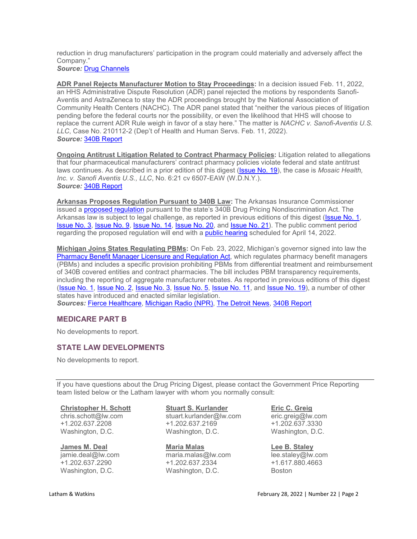reduction in drug manufacturers' participation in the program could materially and adversely affect the Company." *Source:* [Drug Channels](https://www.drugchannels.net/2022/02/drug-channels-news-roundup-february.html)

**ADR Panel Rejects Manufacturer Motion to Stay Proceedings:** In a decision issued Feb. 11, 2022, an HHS Administrative Dispute Resolution (ADR) panel rejected the motions by respondents Sanofi-Aventis and AstraZeneca to stay the ADR proceedings brought by the National Association of Community Health Centers (NACHC). The ADR panel stated that "neither the various pieces of litigation pending before the federal courts nor the possibility, or even the likelihood that HHS will choose to replace the current ADR Rule weigh in favor of a stay here." The matter is *NACHC v. Sanofi-Aventis U.S. LLC*, Case No. 210112-2 (Dep't of Health and Human Servs. Feb. 11, 2022). *Source:* [340B Report](https://340breport.com/in-a-win-for-health-centers-340b-adr-panel-says-proceedings-against-astrazeneca-sanofi-must-go-on/)

**Ongoing Antitrust Litigation Related to Contract Pharmacy Policies:** Litigation related to allegations that four pharmaceutical manufacturers' contract pharmacy policies violate federal and state antitrust laws continues. As described in a prior edition of this digest [\(Issue No. 19\)](https://www.lw.com/thoughtLeadership/healthcare-life-sciences-drug-pricing-digest-number-19), the case is *Mosaic Health, Inc. v. Sanofi Aventis U.S., LLC*, No. 6:21 cv 6507-EAW (W.D.N.Y.). *Source:* [340B Report](https://340breport.com/drug-makers-ask-judge-again-to-dismiss-340b-related-antitrust-charges/)

**Arkansas Proposes Regulation Pursuant to 340B Law:** The Arkansas Insurance Commissioner issued a [proposed regulation](https://insurance.arkansas.gov/uploads/pages/proposed_rule_123.pdf) pursuant to the state's 340B Drug Pricing Nondiscrimination Act. The Arkansas law is subject to legal challenge, as reported in previous editions of this digest [\(Issue No. 1,](https://www.lw.com/thoughtLeadership/healthcare-life-sciences-drug-pricing-digest-number-14) [Issue No. 3,](https://www.lw.com/thoughtLeadership/healthcare-life-sciences-drug-pricing-digest-number-3) [Issue No. 9,](https://www.lw.com/thoughtLeadership/healthcare-life-sciences-drug-pricing-digest-number-9) [Issue No. 14,](https://www.lw.com/thoughtLeadership/healthcare-life-sciences-drug-pricing-digest-number-14) [Issue No. 20,](https://www.lw.com/thoughtLeadership/healthcare-life-sciences-drug-pricing-digest-number-20) and [Issue No. 21\)](https://www.lw.com/thoughtLeadership/healthcare-life-sciences-drug-pricing-digest-number-21). The public comment period regarding the proposed regulation will end with a [public hearing](https://insurance.arkansas.gov/uploads/pages/notice_of_rule_making___public_hearing_-_rule_123.pdf) scheduled for April 14, 2022.

**Michigan Joins States Regulating PBMs:** On Feb. 23, 2022, Michigan's governor signed into law the [Pharmacy Benefit Manager Licensure and Regulation Act,](http://www.legislature.mi.gov/documents/2021-2022/billconcurred/House/htm/2021-HCB-4348.htm) which regulates pharmacy benefit managers (PBMs) and includes a specific provision prohibiting PBMs from differential treatment and reimbursement of 340B covered entities and contract pharmacies. The bill includes PBM transparency requirements, including the reporting of aggregate manufacturer rebates. As reported in previous editions of this digest [\(Issue No. 1,](https://www.lw.com/thoughtLeadership/healthcare-life-sciences-drug-pricing-digest-number-1) [Issue No. 2,](https://www.lw.com/thoughtLeadership/healthcare-life-sciences-drug-pricing-digest-number-2) [Issue No. 3,](https://www.lw.com/thoughtLeadership/healthcare-life-sciences-drug-pricing-digest-number-3) [Issue No. 5,](https://www.lw.com/thoughtLeadership/healthcare-life-sciences-drug-pricing-digest-number-5) [Issue No. 11,](https://www.lw.com/thoughtLeadership/healthcare-life-sciences-drug-pricing-digest-number-11) and [Issue No. 19\)](https://www.lw.com/thoughtLeadership/healthcare-life-sciences-drug-pricing-digest-number-19), a number of other states have introduced and enacted similar legislation. *Sources:* [Fierce Healthcare,](https://www.fiercehealthcare.com/payers/mich-gov-signs-law-series-pbm-reforms-such-new-licensure-requirements) [Michigan Radio \(NPR\),](https://www.michiganradio.org/politics-government/2022-02-23/gov-whitmer-signs-bills-to-regulate-pharmaceutical-intermediaries) [The Detroit News,](https://www.detroitnews.com/story/news/politics/2022/02/23/whitmer-signs-bills-prescription-drug-prices-pharmacy-benefit-managers/6908396001/) [340B Report](https://340breport.com/michigan-governor-signs-three-bills-addressing-pbm-and-insurer-discrimination-against-340b-entities-and-contract-pharmacies/#memberful_overlay)

# **MEDICARE PART B**

No developments to report.

# **STATE LAW DEVELOPMENTS**

No developments to report.

If you have questions about the Drug Pricing Digest, please contact the Government Price Reporting team listed below or the Latham lawyer with whom you normally consult:

### **[Christopher H. Schott](https://www.lw.com/people/christopher-schott)**

chris.schott@lw.com +1.202.637.2208 Washington, D.C.

### **[James M. Deal](mailto:jamie.deal@lw.com)**

jamie.deal@lw.com +1.202.637.2290 Washington, D.C.

## **[Stuart S. Kurlander](https://www.lw.com/people/stuart-kurlander)**

stuart.kurlander@lw.com +1.202.637.2169 Washington, D.C.

**[Maria Malas](mailto:maria.malas@lw.com)** maria.malas@lw.com +1.202.637.2334 Washington, D.C.

## **[Eric C. Greig](https://www.lw.com/people/eric-greig)**

eric.greig@lw.com +1.202.637.3330 Washington, D.C.

**[Lee B. Staley](https://www.lw.com/people/lee-staley)**

lee.staley@lw.com +1.617.880.4663 Boston